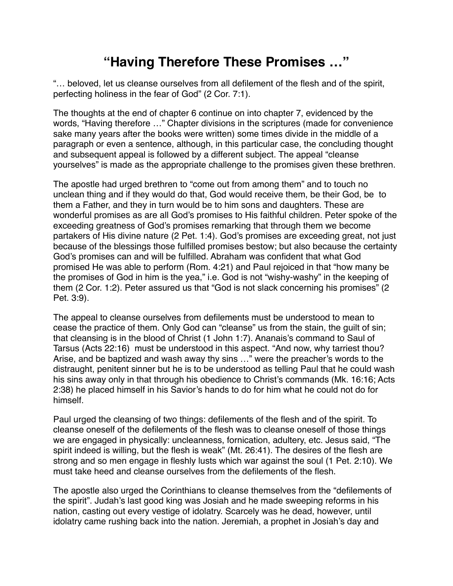## **"Having Therefore These Promises …"**

"… beloved, let us cleanse ourselves from all defilement of the flesh and of the spirit, perfecting holiness in the fear of God" (2 Cor. 7:1).

The thoughts at the end of chapter 6 continue on into chapter 7, evidenced by the words, "Having therefore …" Chapter divisions in the scriptures (made for convenience sake many years after the books were written) some times divide in the middle of a paragraph or even a sentence, although, in this particular case, the concluding thought and subsequent appeal is followed by a different subject. The appeal "cleanse yourselves" is made as the appropriate challenge to the promises given these brethren.

The apostle had urged brethren to "come out from among them" and to touch no unclean thing and if they would do that, God would receive them, be their God, be to them a Father, and they in turn would be to him sons and daughters. These are wonderful promises as are all God's promises to His faithful children. Peter spoke of the exceeding greatness of God's promises remarking that through them we become partakers of His divine nature (2 Pet. 1:4). God's promises are exceeding great, not just because of the blessings those fulfilled promises bestow; but also because the certainty God's promises can and will be fulfilled. Abraham was confident that what God promised He was able to perform (Rom. 4:21) and Paul rejoiced in that "how many be the promises of God in him is the yea," i.e. God is not "wishy-washy" in the keeping of them (2 Cor. 1:2). Peter assured us that "God is not slack concerning his promises" (2 Pet. 3:9).

The appeal to cleanse ourselves from defilements must be understood to mean to cease the practice of them. Only God can "cleanse" us from the stain, the guilt of sin; that cleansing is in the blood of Christ (1 John 1:7). Ananais's command to Saul of Tarsus (Acts 22:16) must be understood in this aspect. "And now, why tarriest thou? Arise, and be baptized and wash away thy sins …" were the preacher's words to the distraught, penitent sinner but he is to be understood as telling Paul that he could wash his sins away only in that through his obedience to Christ's commands (Mk. 16:16; Acts 2:38) he placed himself in his Savior's hands to do for him what he could not do for himself.

Paul urged the cleansing of two things: defilements of the flesh and of the spirit. To cleanse oneself of the defilements of the flesh was to cleanse oneself of those things we are engaged in physically: uncleanness, fornication, adultery, etc. Jesus said, "The spirit indeed is willing, but the flesh is weak" (Mt. 26:41). The desires of the flesh are strong and so men engage in fleshly lusts which war against the soul (1 Pet. 2:10). We must take heed and cleanse ourselves from the defilements of the flesh.

The apostle also urged the Corinthians to cleanse themselves from the "defilements of the spirit". Judah's last good king was Josiah and he made sweeping reforms in his nation, casting out every vestige of idolatry. Scarcely was he dead, however, until idolatry came rushing back into the nation. Jeremiah, a prophet in Josiah's day and